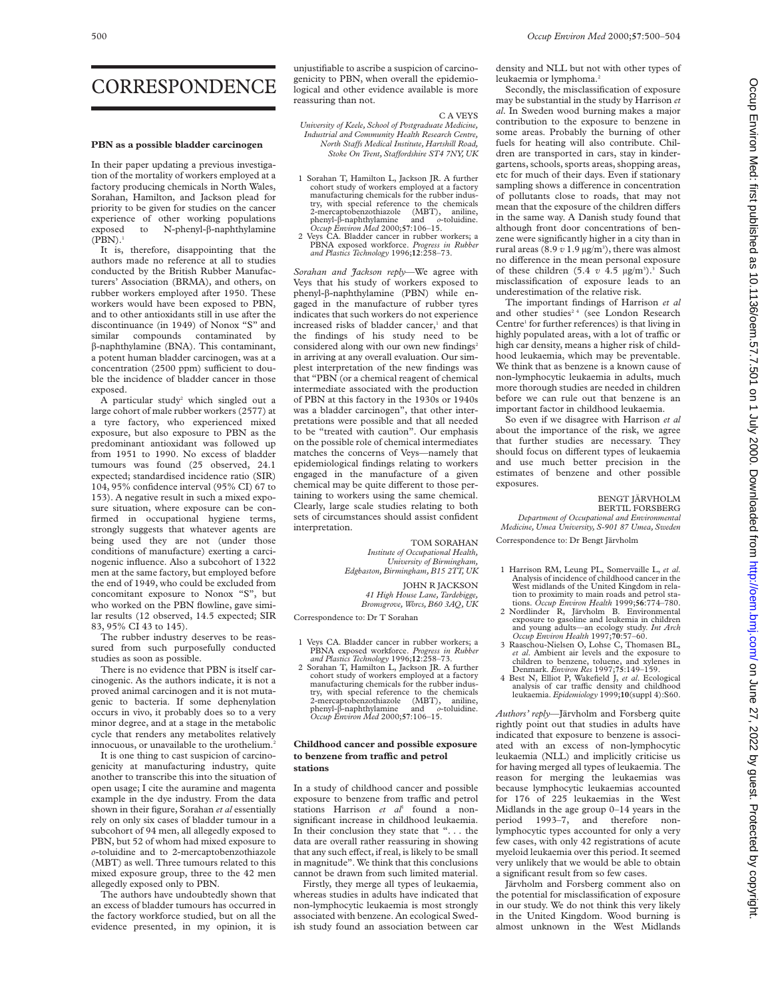## CORRESPONDENCE

### **PBN as a possible bladder carcinogen**

In their paper updating a previous investigation of the mortality of workers employed at a factory producing chemicals in North Wales, Sorahan, Hamilton, and Jackson plead for priority to be given for studies on the cancer experience of other working populations exposed to N-phenyl- $\beta$ -naphthylamine  $(PBN).<sup>1</sup>$ 

It is, therefore, disappointing that the authors made no reference at all to studies conducted by the British Rubber Manufacturers' Association (BRMA), and others, on rubber workers employed after 1950. These workers would have been exposed to PBN, and to other antioxidants still in use after the discontinuance (in 1949) of Nonox "S" and similar compounds contaminated by â-naphthylamine (BNA). This contaminant, a potent human bladder carcinogen, was at a concentration (2500 ppm) sufficient to double the incidence of bladder cancer in those exposed.

A particular study<sup>2</sup> which singled out a large cohort of male rubber workers (2577) at a tyre factory, who experienced mixed exposure, but also exposure to PBN as the predominant antioxidant was followed up from 1951 to 1990. No excess of bladder tumours was found (25 observed, 24.1 expected; standardised incidence ratio (SIR) 104, 95% confidence interval (95% CI) 67 to 153). A negative result in such a mixed exposure situation, where exposure can be confirmed in occupational hygiene terms, strongly suggests that whatever agents are being used they are not (under those conditions of manufacture) exerting a carcinogenic influence. Also a subcohort of 1322 men at the same factory, but employed before the end of 1949, who could be excluded from concomitant exposure to Nonox "S", but who worked on the PBN flowline, gave similar results (12 observed, 14.5 expected; SIR 83, 95% CI 43 to 145).

The rubber industry deserves to be reassured from such purposefully conducted studies as soon as possible.

There is no evidence that PBN is itself carcinogenic. As the authors indicate, it is not a proved animal carcinogen and it is not mutagenic to bacteria. If some dephenylation occurs in vivo, it probably does so to a very minor degree, and at a stage in the metabolic cycle that renders any metabolites relatively innocuous, or unavailable to the urothelium.<sup>2</sup>

It is one thing to cast suspicion of carcinogenicity at manufacturing industry, quite another to transcribe this into the situation of open usage; I cite the auramine and magenta example in the dye industry. From the data shown in their figure, Sorahan *et al* essentially rely on only six cases of bladder tumour in a subcohort of 94 men, all allegedly exposed to PBN, but 52 of whom had mixed exposure to *o*-toluidine and to 2-mercaptobenzothiazole (MBT) as well. Three tumours related to this mixed exposure group, three to the 42 men allegedly exposed only to PBN.

The authors have undoubtedly shown that an excess of bladder tumours has occurred in the factory workforce studied, but on all the evidence presented, in my opinion, it is unjustifiable to ascribe a suspicion of carcinogenicity to PBN, when overall the epidemiological and other evidence available is more reassuring than not.

C A VEYS

*University of Keele, School of Postgraduate Medicine, Industrial and Community Health Research Centre, North StaVs Medical Institute, Hartshill Road, Stoke On Trent, StaVordshire ST4 7NY, UK*

- 1 Sorahan T, Hamilton L, Jackson JR. A further cohort study of workers employed at a factory manufacturing chemicals for the rubber industry, with special reference to the chemicals 2-mercaptobenzothiazole (MBT), aniline, phenyl-â-naphthylamine and *o*-toluidine. *Occup Environ Med* 2000;**57**:106–15. 2 Veys CA. Bladder cancer in rubber workers; a
- PBNA exposed workforce. *Progress in Rubber and Plastics Technology* 1996;**12**:258–73.

*Sorahan and Jackson reply*—We agree with Veys that his study of workers exposed to phenyl-â-naphthylamine (PBN) while engaged in the manufacture of rubber tyres indicates that such workers do not experience increased risks of bladder cancer,<sup>1</sup> and that the findings of his study need to be considered along with our own new findings<sup>2</sup> in arriving at any overall evaluation. Our simplest interpretation of the new findings was that "PBN (or a chemical reagent of chemical intermediate associated with the production of PBN at this factory in the 1930s or 1940s was a bladder carcinogen", that other interpretations were possible and that all needed to be "treated with caution". Our emphasis on the possible role of chemical intermediates matches the concerns of Veys—namely that epidemiological findings relating to workers engaged in the manufacture of a given chemical may be quite different to those pertaining to workers using the same chemical. Clearly, large scale studies relating to both sets of circumstances should assist confident interpretation.

> TOM SORAHAN *Institute of Occupational Health, University of Birmingham, Edgbaston, Birmingham, B15 2TT, UK*

> > JOHN R JACKSON *41 High House Lane, Tardebigge, Bromsgrove, Worcs, B60 3AQ, UK*

Correspondence to: Dr T Sorahan

- 1 Veys CA. Bladder cancer in rubber workers; a PBNA exposed workforce. *Progress in Rubber and Plastics Technology* 1996;**12**:258–73.
- 2 Sorahan T, Hamilton L, Jackson JR. A further cohort study of workers employed at a factory manufacturing chemicals for the rubber indus-try, with special reference to the chemicals 2-mercaptobenzothiazole (MBT), aniline, phenyl-â-naphthylamine and *o*-toluidine. *Occup Environ Med* 2000;**57**:106–15.

### **Childhood cancer and possible exposure to benzene from traYc and petrol stations**

In a study of childhood cancer and possible exposure to benzene from traffic and petrol stations Harrison et al<sup>1</sup> found a nonsignificant increase in childhood leukaemia. In their conclusion they state that ". . . the data are overall rather reassuring in showing that any such effect, if real, is likely to be small in magnitude". We think that this conclusions cannot be drawn from such limited material.

Firstly, they merge all types of leukaemia, whereas studies in adults have indicated that non-lymphocytic leukaemia is most strongly associated with benzene. An ecological Swedish study found an association between car

density and NLL but not with other types of leukaemia or lymphoma.<sup>2</sup>

Secondly, the misclassification of exposure may be substantial in the study by Harrison *et al*. In Sweden wood burning makes a major contribution to the exposure to benzene in some areas. Probably the burning of other fuels for heating will also contribute. Children are transported in cars, stay in kindergartens, schools, sports areas, shopping areas, etc for much of their days. Even if stationary sampling shows a difference in concentration of pollutants close to roads, that may not mean that the exposure of the children differs in the same way. A Danish study found that although front door concentrations of benzene were significantly higher in a city than in rural areas  $(8.9 v 1.9 \,\mathrm{\upmu g/m^3})$ , there was almost no difference in the mean personal exposure of these children  $(5.4 \ v 4.5 \ \mu g/m^3)$ .<sup>3</sup> Such misclassification of exposure leads to an underestimation of the relative risk.

The important findings of Harrison *et al* and other studies<sup>24</sup> (see London Research Centre<sup>1</sup> for further references) is that living in highly populated areas, with a lot of traffic or high car density, means a higher risk of childhood leukaemia, which may be preventable. We think that as benzene is a known cause of non-lymphocytic leukaemia in adults, much more thorough studies are needed in children before we can rule out that benzene is an important factor in childhood leukaemia.

So even if we disagree with Harrison *et al* about the importance of the risk, we agree that further studies are necessary. They should focus on different types of leukaemia and use much better precision in the estimates of benzene and other possible exposures.

#### BENGT JÄRVHOLM BERTIL FORSBERG

*Department of Occupational and Environmental Medicine, Umea University, S-901 87 Umea, Sweden*

Correspondence to: Dr Bengt Järvholm

- 1 Harrison RM, Leung PL, Somervaille L, *et al*. Analysis of incidence of childhood cancer in the West midlands of the United Kingdom in rela-
- tion to proximity to main roads and petrol sta-<br>tions. *Occup Environ Health* 1999;66:774-780.<br>2 Nordlinder R, Järvholm B. Environmental<br>exposure to gasoline and leukemia in children<br>and young adults—an ecology study. *In*
- 3 Raaschou-Nielsen O, Lohse C, Thomasen BL, *et al*. Ambient air levels and the exposure to children to benzene, toluene, and xylenes in Denmark. *Environ Res* 1997;**75**:149–159.
- 4 Best N, Elliot P, Wakefield J, *et al*. Ecological analysis of car traffic density and childhood leukaemia. *Epidemiology* 1999;**10**(suppl 4):S60.

*Authors' reply*—Järvholm and Forsberg quite rightly point out that studies in adults have indicated that exposure to benzene is associated with an excess of non-lymphocytic leukaemia (NLL) and implicitly criticise us for having merged all types of leukaemia. The reason for merging the leukaemias was because lymphocytic leukaemias accounted for 176 of 225 leukaemias in the West Midlands in the age group 0–14 years in the period 1993–7, and therefore nonlymphocytic types accounted for only a very few cases, with only 42 registrations of acute myeloid leukaemia over this period. It seemed very unlikely that we would be able to obtain a significant result from so few cases.

Järvholm and Forsberg comment also on the potential for misclassification of exposure in our study. We do not think this very likely in the United Kingdom. Wood burning is almost unknown in the West Midlands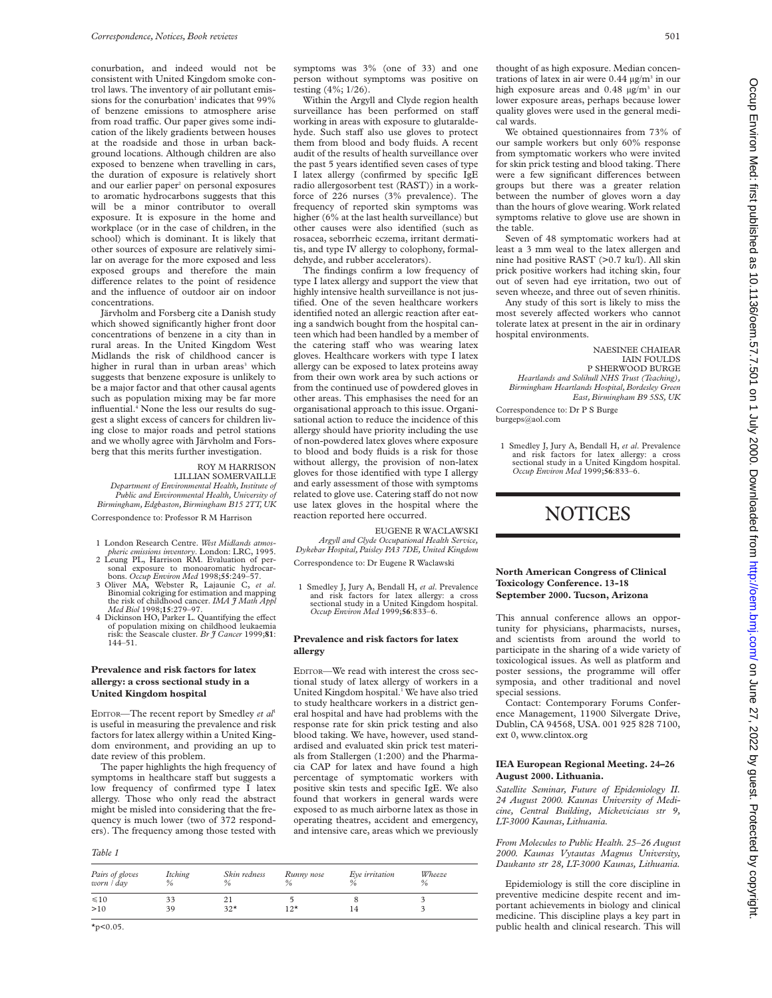conurbation, and indeed would not be consistent with United Kingdom smoke control laws. The inventory of air pollutant emissions for the conurbation<sup>1</sup> indicates that  $99\%$ of benzene emissions to atmosphere arise from road traffic. Our paper gives some indication of the likely gradients between houses at the roadside and those in urban background locations. Although children are also exposed to benzene when travelling in cars, the duration of exposure is relatively short and our earlier paper<sup>2</sup> on personal exposures to aromatic hydrocarbons suggests that this will be a minor contributor to overall exposure. It is exposure in the home and workplace (or in the case of children, in the school) which is dominant. It is likely that other sources of exposure are relatively similar on average for the more exposed and less exposed groups and therefore the main difference relates to the point of residence and the influence of outdoor air on indoor concentrations.

Järvholm and Forsberg cite a Danish study which showed significantly higher front door concentrations of benzene in a city than in rural areas. In the United Kingdom West Midlands the risk of childhood cancer is higher in rural than in urban areas<sup>3</sup> which suggests that benzene exposure is unlikely to be a major factor and that other causal agents such as population mixing may be far more influential.<sup>4</sup> None the less our results do suggest a slight excess of cancers for children living close to major roads and petrol stations and we wholly agree with Järvholm and Forsberg that this merits further investigation.

### ROY M HARRISON

LILLIAN SOMERVAILLE *Department of Environmental Health, Institute of Public and Environmental Health, University of Birmingham, Edgbaston, Birmingham B15 2TT, UK*

Correspondence to: Professor R M Harrison

- 1 London Research Centre. *West Midlands atmos-*
- *pheric emissions inventory*. London: LRC, 1995. 2 Leung PL, Harrison RM. Evaluation of per-
- sonal exposure to monoaromatic hydrocar-bons. *Occup Environ Med* 1998;**55**:249–57. 3 Oliver MA, Webster R, Lajaunie C, *et al*. Binomial cokriging for estimation and mapping the risk of childhood cancer. *IMA J Math Appl Med Biol* 1998;**15**:279–97.
- 4 Dickinson HO, Parker L. Quantifying the effect of population mixing on childhood leukaemia risk: the Seascale cluster. *Br J Cancer* 1999;**81**: 144–51.

### **Prevalence and risk factors for latex allergy: a cross sectional study in a United Kingdom hospital**

EDITOR-The recent report by Smedley et al<sup>1</sup> is useful in measuring the prevalence and risk factors for latex allergy within a United Kingdom environment, and providing an up to date review of this problem.

The paper highlights the high frequency of symptoms in healthcare staff but suggests a low frequency of confirmed type I latex allergy. Those who only read the abstract might be misled into considering that the frequency is much lower (two of 372 responders). The frequency among those tested with

### *Table 1*

| Pairs of gloves<br>worn / day | Itching<br>$\frac{0}{0}$ | Skin redness<br>% | Runny nose<br>$\%$ | Eve irritation<br>$\%$ | Wheeze<br>$\%$ |
|-------------------------------|--------------------------|-------------------|--------------------|------------------------|----------------|
| $\leq 10$                     | 33                       |                   |                    |                        |                |
| >10                           | 39                       | $32*$             | $12*$              | 14                     |                |

symptoms was 3% (one of 33) and one person without symptoms was positive on testing (4%; 1/26).

Within the Argyll and Clyde region health surveillance has been performed on staff working in areas with exposure to glutaraldehyde. Such staff also use gloves to protect them from blood and body fluids. A recent audit of the results of health surveillance over the past 5 years identified seven cases of type I latex allergy (confirmed by specific IgE radio allergosorbent test (RAST)) in a workforce of 226 nurses (3% prevalence). The frequency of reported skin symptoms was higher (6% at the last health surveillance) but other causes were also identified (such as rosacea, seborrheic eczema, irritant dermatitis, and type IV allergy to colophony, formaldehyde, and rubber accelerators).

The findings confirm a low frequency of type I latex allergy and support the view that highly intensive health surveillance is not justified. One of the seven healthcare workers identified noted an allergic reaction after eating a sandwich bought from the hospital canteen which had been handled by a member of the catering staff who was wearing latex gloves. Healthcare workers with type I latex allergy can be exposed to latex proteins away from their own work area by such actions or from the continued use of powdered gloves in other areas. This emphasises the need for an organisational approach to this issue. Organisational action to reduce the incidence of this allergy should have priority including the use of non-powdered latex gloves where exposure to blood and body fluids is a risk for those without allergy, the provision of non-latex gloves for those identified with type I allergy and early assessment of those with symptoms related to glove use. Catering staff do not now use latex gloves in the hospital where the reaction reported here occurred.

EUGENE R WACLAWSKI *Argyll and Clyde Occupational Health Service, Dykebar Hospital, Paisley PA3 7DE, United Kingdom* Correspondence to: Dr Eugene R Waclawski

1 Smedley J, Jury A, Bendall H, *et al*. Prevalence and risk factors for latex allergy: a cross sectional study in a United Kingdom hospital. *Occup Environ Med* 1999;**56**:833–6.

### **Prevalence and risk factors for latex allergy**

EDITOR—We read with interest the cross sectional study of latex allergy of workers in a United Kingdom hospital.<sup>1</sup> We have also tried to study healthcare workers in a district general hospital and have had problems with the response rate for skin prick testing and also blood taking. We have, however, used standardised and evaluated skin prick test materials from Stallergen (1:200) and the Pharmacia CAP for latex and have found a high percentage of symptomatic workers with positive skin tests and specific IgE. We also found that workers in general wards were exposed to as much airborne latex as those in operating theatres, accident and emergency, and intensive care, areas which we previously

thought of as high exposure. Median concentrations of latex in air were  $0.44 \mu g/m^3$  in our high exposure areas and 0.48 µg/m<sup>3</sup> in our lower exposure areas, perhaps because lower quality gloves were used in the general medical wards.

We obtained questionnaires from 73% of our sample workers but only 60% response from symptomatic workers who were invited for skin prick testing and blood taking. There were a few significant differences between groups but there was a greater relation between the number of gloves worn a day than the hours of glove wearing. Work related symptoms relative to glove use are shown in the table.

Seven of 48 symptomatic workers had at least a 3 mm weal to the latex allergen and nine had positive RAST (>0.7 ku/l). All skin prick positive workers had itching skin, four out of seven had eye irritation, two out of seven wheeze, and three out of seven rhinitis.

Any study of this sort is likely to miss the most severely affected workers who cannot tolerate latex at present in the air in ordinary hospital environments.

NAESINEE CHAIEAR IAIN FOULDS P SHERWOOD BURGE *Heartlands and Solihull NHS Trust (Teaching), Birmingham Heartlands Hospital, Bordesley Green East, Birmingham B9 5SS, UK*

Correspondence to: Dr P S Burge burgeps@aol.com

1 Smedley J, Jury A, Bendall H, *et al*. Prevalence and risk factors for latex allergy: a cross sectional study in a United Kingdom hospital. *Occup Environ Med* 1999;**56**:833–6.

# **NOTICES**

### **North American Congress of Clinical Toxicology Conference. 13-18 September 2000. Tucson, Arizona**

This annual conference allows an opportunity for physicians, pharmacists, nurses, and scientists from around the world to participate in the sharing of a wide variety of toxicological issues. As well as platform and poster sessions, the programme will offer symposia, and other traditional and novel special sessions.

Contact: Contemporary Forums Conference Management, 11900 Silvergate Drive, Dublin, CA 94568, USA. 001 925 828 7100, ext 0, www.clintox.org

### **IEA European Regional Meeting. 24–26 August 2000. Lithuania.**

*Satellite Seminar, Future of Epidemiology II. 24 August 2000. Kaunas University of Medicine, Central Building, Mickeviciaus str 9, LT-3000 Kaunas, Lithuania.*

*From Molecules to Public Health. 25–26 August 2000. Kaunas Vytautas Magnus University, Daukanto str 28, LT-3000 Kaunas, Lithuania.*

Epidemiology is still the core discipline in preventive medicine despite recent and important achievements in biology and clinical medicine. This discipline plays a key part in public health and clinical research. This will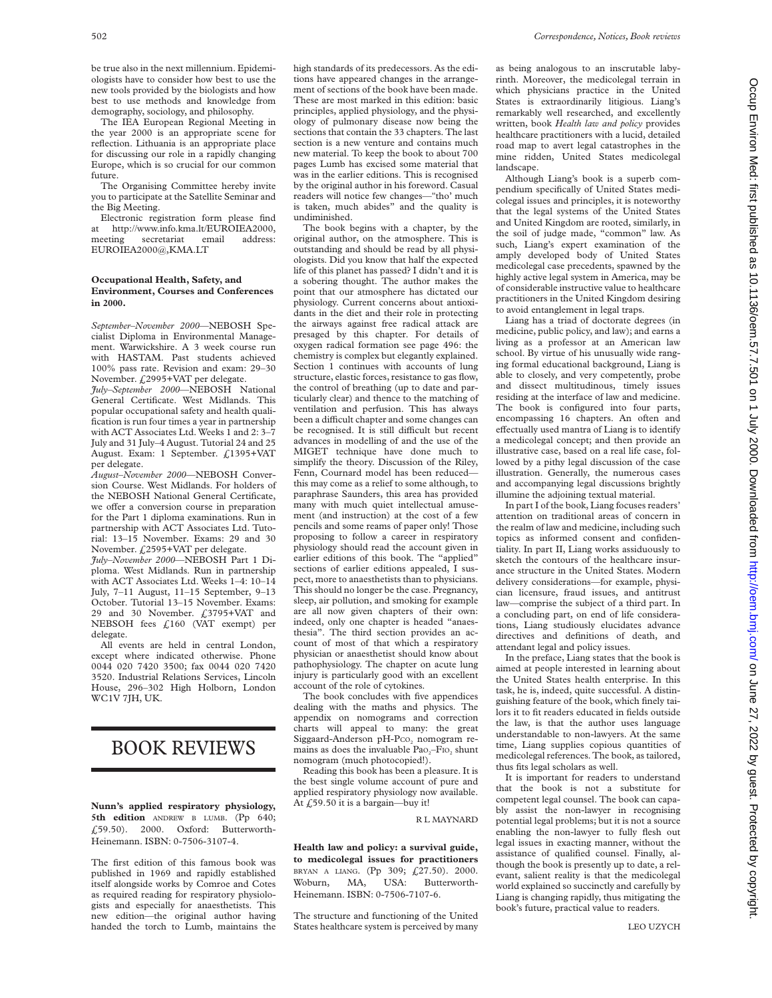be true also in the next millennium. Epidemiologists have to consider how best to use the new tools provided by the biologists and how best to use methods and knowledge from demography, sociology, and philosophy.

The IEA European Regional Meeting in the year 2000 is an appropriate scene for reflection. Lithuania is an appropriate place for discussing our role in a rapidly changing Europe, which is so crucial for our common future.

The Organising Committee hereby invite you to participate at the Satellite Seminar and the Big Meeting.

Electronic registration form please find at http://www.info.kma.lt/EUROIEA2000, meeting secretariat email address: EUROIEA2000@,KMA.LT

### **Occupational Health, Safety, and Environment, Courses and Conferences in 2000.**

*September–November 2000*—NEBOSH Specialist Diploma in Environmental Management. Warwickshire. A 3 week course run with HASTAM. Past students achieved 100% pass rate. Revision and exam: 29–30 November. £2995+VAT per delegate.

*July–September 2000*—NEBOSH National General Certificate. West Midlands. This popular occupational safety and health qualification is run four times a year in partnership with ACT Associates Ltd. Weeks 1 and 2: 3–7 July and 31 July–4 August. Tutorial 24 and 25 August. Exam: 1 September. £1395+VAT per delegate.

*August–November 2000*—NEBOSH Conversion Course. West Midlands. For holders of the NEBOSH National General Certificate, we offer a conversion course in preparation for the Part 1 diploma examinations. Run in partnership with ACT Associates Ltd. Tutorial: 13–15 November. Exams: 29 and 30 November. £2595+VAT per delegate.

*July–November 2000*—NEBOSH Part 1 Diploma. West Midlands. Run in partnership with ACT Associates Ltd. Weeks 1–4: 10–14 July, 7–11 August, 11–15 September, 9–13 October. Tutorial 13–15 November. Exams: 29 and 30 November. £3795+VAT and NEBSOH fees £160 (VAT exempt) per delegate.

All events are held in central London, except where indicated otherwise. Phone 0044 020 7420 3500; fax 0044 020 7420 3520. Industrial Relations Services, Lincoln House, 296–302 High Holborn, London WC1V 7JH, UK.

## BOOK REVIEWS

**Nunn's applied respiratory physiology, 5th edition** ANDREW B LUMB. (Pp 640; £59.50). 2000. Oxford: Butterworth-Heinemann. ISBN: 0-7506-3107-4.

The first edition of this famous book was published in 1969 and rapidly established itself alongside works by Comroe and Cotes as required reading for respiratory physiologists and especially for anaesthetists. This new edition—the original author having handed the torch to Lumb, maintains the

high standards of its predecessors. As the editions have appeared changes in the arrangement of sections of the book have been made. These are most marked in this edition: basic principles, applied physiology, and the physiology of pulmonary disease now being the sections that contain the 33 chapters. The last section is a new venture and contains much new material. To keep the book to about 700 pages Lumb has excised some material that was in the earlier editions. This is recognised by the original author in his foreword. Casual readers will notice few changes—"tho' much is taken, much abides" and the quality is undiminished.

The book begins with a chapter, by the original author, on the atmosphere. This is outstanding and should be read by all physiologists. Did you know that half the expected life of this planet has passed? I didn't and it is a sobering thought. The author makes the point that our atmosphere has dictated our physiology. Current concerns about antioxidants in the diet and their role in protecting the airways against free radical attack are presaged by this chapter. For details of oxygen radical formation see page 496: the chemistry is complex but elegantly explained. Section 1 continues with accounts of lung structure, elastic forces, resistance to gas flow, the control of breathing (up to date and particularly clear) and thence to the matching of ventilation and perfusion. This has always been a difficult chapter and some changes can be recognised. It is still difficult but recent advances in modelling of and the use of the MIGET technique have done much to simplify the theory. Discussion of the Riley, Fenn, Cournard model has been reduced this may come as a relief to some although, to paraphrase Saunders, this area has provided many with much quiet intellectual amusement (and instruction) at the cost of a few pencils and some reams of paper only! Those proposing to follow a career in respiratory physiology should read the account given in earlier editions of this book. The "applied" sections of earlier editions appealed, I suspect, more to anaesthetists than to physicians. This should no longer be the case. Pregnancy, sleep, air pollution, and smoking for example are all now given chapters of their own: indeed, only one chapter is headed "anaesthesia". The third section provides an account of most of that which a respiratory physician or anaesthetist should know about pathophysiology. The chapter on acute lung injury is particularly good with an excellent account of the role of cytokines.

The book concludes with five appendices dealing with the maths and physics. The appendix on nomograms and correction charts will appeal to many: the great Siggaard-Anderson pH- $Pco<sub>2</sub>$  nomogram remains as does the invaluable Pao<sub>2</sub>–F<sub>IO</sub>, shunt nomogram (much photocopied!).

Reading this book has been a pleasure. It is the best single volume account of pure and applied respiratory physiology now available. At  $\angle$  59.50 it is a bargain—buy it!

### R L MAYNARD

**Health law and policy: a survival guide, to medicolegal issues for practitioners** BRYAN A LIANG. (Pp 309; £27.50). 2000. Woburn, MA, USA: Butterworth-Heinemann. ISBN: 0-7506-7107-6.

The structure and functioning of the United States healthcare system is perceived by many

as being analogous to an inscrutable labyrinth. Moreover, the medicolegal terrain in which physicians practice in the United States is extraordinarily litigious. Liang's remarkably well researched, and excellently written, book *Health law and policy* provides healthcare practitioners with a lucid, detailed road map to avert legal catastrophes in the mine ridden, United States medicolegal landscape.

Although Liang's book is a superb compendium specifically of United States medicolegal issues and principles, it is noteworthy that the legal systems of the United States and United Kingdom are rooted, similarly, in the soil of judge made, "common" law. As such, Liang's expert examination of the amply developed body of United States medicolegal case precedents, spawned by the highly active legal system in America, may be of considerable instructive value to healthcare practitioners in the United Kingdom desiring to avoid entanglement in legal traps.

Liang has a triad of doctorate degrees (in medicine, public policy, and law); and earns a living as a professor at an American law school. By virtue of his unusually wide ranging formal educational background, Liang is able to closely, and very competently, probe and dissect multitudinous, timely issues residing at the interface of law and medicine. The book is configured into four parts, encompassing 16 chapters. An often and effectually used mantra of Liang is to identify a medicolegal concept; and then provide an illustrative case, based on a real life case, followed by a pithy legal discussion of the case illustration. Generally, the numerous cases and accompanying legal discussions brightly illumine the adjoining textual material.

In part I of the book, Liang focuses readers' attention on traditional areas of concern in the realm of law and medicine, including such topics as informed consent and confidentiality. In part II, Liang works assiduously to sketch the contours of the healthcare insurance structure in the United States. Modern delivery considerations—for example, physician licensure, fraud issues, and antitrust law—comprise the subject of a third part. In a concluding part, on end of life considerations, Liang studiously elucidates advance directives and definitions of death, and attendant legal and policy issues.

In the preface, Liang states that the book is aimed at people interested in learning about the United States health enterprise. In this task, he is, indeed, quite successful. A distinguishing feature of the book, which finely tailors it to fit readers educated in fields outside the law, is that the author uses language understandable to non-lawyers. At the same time, Liang supplies copious quantities of medicolegal references. The book, as tailored, thus fits legal scholars as well.

It is important for readers to understand that the book is not a substitute for competent legal counsel. The book can capably assist the non-lawyer in recognising potential legal problems; but it is not a source enabling the non-lawyer to fully flesh out legal issues in exacting manner, without the assistance of qualified counsel. Finally, although the book is presently up to date, a relevant, salient reality is that the medicolegal world explained so succinctly and carefully by Liang is changing rapidly, thus mitigating the book's future, practical value to readers.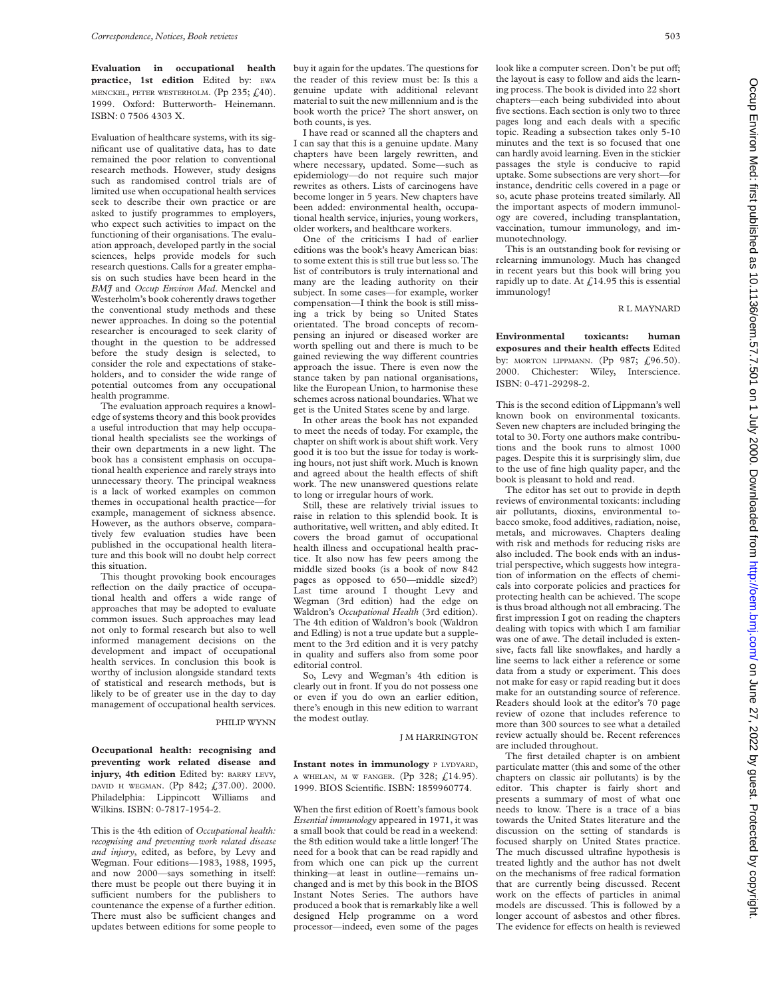**Evaluation in occupational health practice, 1st edition** Edited by: EWA MENCKEL, PETER WESTERHOLM. (Pp 235;  $f<sub>1</sub>(40)$ . 1999. Oxford: Butterworth- Heinemann. ISBN: 0 7506 4303 X.

Evaluation of healthcare systems, with its significant use of qualitative data, has to date remained the poor relation to conventional research methods. However, study designs such as randomised control trials are of limited use when occupational health services seek to describe their own practice or are asked to justify programmes to employers, who expect such activities to impact on the functioning of their organisations. The evaluation approach, developed partly in the social sciences, helps provide models for such research questions. Calls for a greater emphasis on such studies have been heard in the *BMJ* and *Occup Environ Med*. Menckel and Westerholm's book coherently draws together the conventional study methods and these newer approaches. In doing so the potential researcher is encouraged to seek clarity of thought in the question to be addressed before the study design is selected, to consider the role and expectations of stakeholders, and to consider the wide range of potential outcomes from any occupational health programme.

The evaluation approach requires a knowledge of systems theory and this book provides a useful introduction that may help occupational health specialists see the workings of their own departments in a new light. The book has a consistent emphasis on occupational health experience and rarely strays into unnecessary theory. The principal weakness is a lack of worked examples on common themes in occupational health practice—for example, management of sickness absence. However, as the authors observe, comparatively few evaluation studies have been published in the occupational health literature and this book will no doubt help correct this situation.

This thought provoking book encourages reflection on the daily practice of occupational health and offers a wide range of approaches that may be adopted to evaluate common issues. Such approaches may lead not only to formal research but also to well informed management decisions on the development and impact of occupational health services. In conclusion this book is worthy of inclusion alongside standard texts of statistical and research methods, but is likely to be of greater use in the day to day management of occupational health services.

PHILIP WYNN

**Occupational health: recognising and preventing work related disease and injury, 4th edition** Edited by: BARRY LEVY, DAVID H WEGMAN. (Pp 842; £37.00). 2000. Philadelphia: Lippincott Williams and Wilkins. ISBN: 0-7817-1954-2.

This is the 4th edition of *Occupational health: recognising and preventing work related disease and injury*, edited, as before, by Levy and Wegman. Four editions—1983, 1988, 1995, and now 2000—says something in itself: there must be people out there buying it in sufficient numbers for the publishers to countenance the expense of a further edition. There must also be sufficient changes and updates between editions for some people to buy it again for the updates. The questions for the reader of this review must be: Is this a genuine update with additional relevant material to suit the new millennium and is the book worth the price? The short answer, on both counts, is yes.

I have read or scanned all the chapters and I can say that this is a genuine update. Many chapters have been largely rewritten, and where necessary, updated. Some—such as epidemiology—do not require such major rewrites as others. Lists of carcinogens have become longer in 5 years. New chapters have been added: environmental health, occupational health service, injuries, young workers, older workers, and healthcare workers.

One of the criticisms I had of earlier editions was the book's heavy American bias: to some extent this is still true but less so. The list of contributors is truly international and many are the leading authority on their subject. In some cases—for example, worker compensation—I think the book is still missing a trick by being so United States orientated. The broad concepts of recompensing an injured or diseased worker are worth spelling out and there is much to be gained reviewing the way different countries approach the issue. There is even now the stance taken by pan national organisations, like the European Union, to harmonise these schemes across national boundaries. What we get is the United States scene by and large.

In other areas the book has not expanded to meet the needs of today. For example, the chapter on shift work is about shift work. Very good it is too but the issue for today is working hours, not just shift work. Much is known and agreed about the health effects of shift work. The new unanswered questions relate to long or irregular hours of work.

Still, these are relatively trivial issues to raise in relation to this splendid book. It is authoritative, well written, and ably edited. It covers the broad gamut of occupational health illness and occupational health practice. It also now has few peers among the middle sized books (is a book of now 842 pages as opposed to 650—middle sized?) Last time around I thought Levy and Wegman (3rd edition) had the edge on Waldron's *Occupational Health* (3rd edition). The 4th edition of Waldron's book (Waldron and Edling) is not a true update but a supplement to the 3rd edition and it is very patchy in quality and suffers also from some poor editorial control.

So, Levy and Wegman's 4th edition is clearly out in front. If you do not possess one or even if you do own an earlier edition, there's enough in this new edition to warrant the modest outlay.

J M HARRINGTON

**Instant notes in immunology** P LYDYARD, A WHELAN, M W FANGER.  $($ Pp 328;  $f$ 14.95). 1999. BIOS Scientific. ISBN: 1859960774.

When the first edition of Roett's famous book *Essential immunology* appeared in 1971, it was a small book that could be read in a weekend: the 8th edition would take a little longer! The need for a book that can be read rapidly and from which one can pick up the current thinking—at least in outline—remains unchanged and is met by this book in the BIOS Instant Notes Series. The authors have produced a book that is remarkably like a well designed Help programme on a word processor—indeed, even some of the pages

look like a computer screen. Don't be put off; the layout is easy to follow and aids the learning process. The book is divided into 22 short chapters—each being subdivided into about five sections. Each section is only two to three pages long and each deals with a specific topic. Reading a subsection takes only 5-10 minutes and the text is so focused that one can hardly avoid learning. Even in the stickier passages the style is conducive to rapid uptake. Some subsections are very short—for instance, dendritic cells covered in a page or so, acute phase proteins treated similarly. All the important aspects of modern immunology are covered, including transplantation, vaccination, tumour immunology, and immunotechnology.

This is an outstanding book for revising or relearning immunology. Much has changed in recent years but this book will bring you rapidly up to date. At  $\mathcal{L}$ 14.95 this is essential immunology!

### R L MAYNARD

**Environmental toxicants: human exposures and their health effects** Edited by: MORTON LIPPMANN. (Pp 987; £96.50). 2000. Chichester: Wiley, Interscience. ISBN: 0-471-29298-2.

This is the second edition of Lippmann's well known book on environmental toxicants. Seven new chapters are included bringing the total to 30. Forty one authors make contributions and the book runs to almost 1000 pages. Despite this it is surprisingly slim, due to the use of fine high quality paper, and the book is pleasant to hold and read.

The editor has set out to provide in depth reviews of environmental toxicants: including air pollutants, dioxins, environmental tobacco smoke, food additives, radiation, noise, metals, and microwaves. Chapters dealing with risk and methods for reducing risks are also included. The book ends with an industrial perspective, which suggests how integration of information on the effects of chemicals into corporate policies and practices for protecting health can be achieved. The scope is thus broad although not all embracing. The first impression I got on reading the chapters dealing with topics with which I am familiar was one of awe. The detail included is extensive, facts fall like snowflakes, and hardly a line seems to lack either a reference or some data from a study or experiment. This does not make for easy or rapid reading but it does make for an outstanding source of reference. Readers should look at the editor's 70 page review of ozone that includes reference to more than 300 sources to see what a detailed review actually should be. Recent references are included throughout.

The first detailed chapter is on ambient particulate matter (this and some of the other chapters on classic air pollutants) is by the editor. This chapter is fairly short and presents a summary of most of what one needs to know. There is a trace of a bias towards the United States literature and the discussion on the setting of standards is focused sharply on United States practice. The much discussed ultrafine hypothesis is treated lightly and the author has not dwelt on the mechanisms of free radical formation that are currently being discussed. Recent work on the effects of particles in animal models are discussed. This is followed by a longer account of asbestos and other fibres. The evidence for effects on health is reviewed